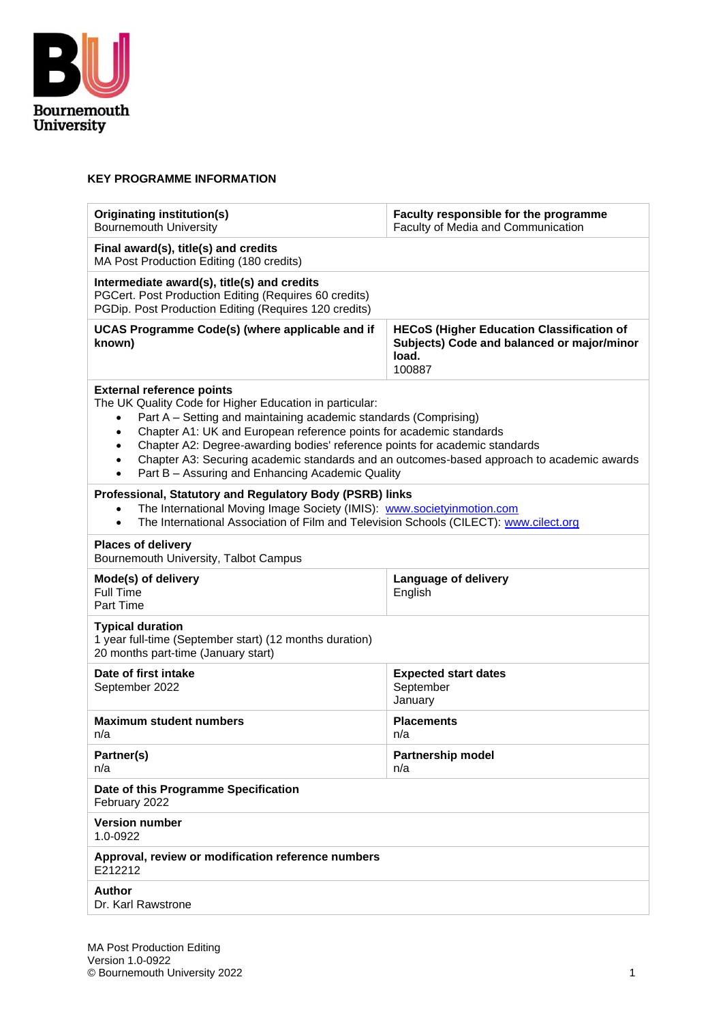

#### **KEY PROGRAMME INFORMATION**

| <b>Originating institution(s)</b><br><b>Bournemouth University</b>                                                                                                                                                                                                                                                                                                                                                                                                                                                                      | Faculty responsible for the programme<br>Faculty of Media and Communication                                       |  |  |  |  |  |  |
|-----------------------------------------------------------------------------------------------------------------------------------------------------------------------------------------------------------------------------------------------------------------------------------------------------------------------------------------------------------------------------------------------------------------------------------------------------------------------------------------------------------------------------------------|-------------------------------------------------------------------------------------------------------------------|--|--|--|--|--|--|
| Final award(s), title(s) and credits<br>MA Post Production Editing (180 credits)                                                                                                                                                                                                                                                                                                                                                                                                                                                        |                                                                                                                   |  |  |  |  |  |  |
| Intermediate award(s), title(s) and credits<br>PGCert. Post Production Editing (Requires 60 credits)<br>PGDip. Post Production Editing (Requires 120 credits)                                                                                                                                                                                                                                                                                                                                                                           |                                                                                                                   |  |  |  |  |  |  |
| UCAS Programme Code(s) (where applicable and if<br>known)                                                                                                                                                                                                                                                                                                                                                                                                                                                                               | <b>HECoS (Higher Education Classification of</b><br>Subjects) Code and balanced or major/minor<br>load.<br>100887 |  |  |  |  |  |  |
| <b>External reference points</b><br>The UK Quality Code for Higher Education in particular:<br>Part A - Setting and maintaining academic standards (Comprising)<br>$\bullet$<br>Chapter A1: UK and European reference points for academic standards<br>$\bullet$<br>Chapter A2: Degree-awarding bodies' reference points for academic standards<br>$\bullet$<br>Chapter A3: Securing academic standards and an outcomes-based approach to academic awards<br>$\bullet$<br>Part B - Assuring and Enhancing Academic Quality<br>$\bullet$ |                                                                                                                   |  |  |  |  |  |  |
| Professional, Statutory and Regulatory Body (PSRB) links<br>The International Moving Image Society (IMIS): www.societyinmotion.com<br>$\bullet$<br>The International Association of Film and Television Schools (CILECT): www.cilect.org<br>$\bullet$                                                                                                                                                                                                                                                                                   |                                                                                                                   |  |  |  |  |  |  |
| <b>Places of delivery</b><br>Bournemouth University, Talbot Campus                                                                                                                                                                                                                                                                                                                                                                                                                                                                      |                                                                                                                   |  |  |  |  |  |  |
| Mode(s) of delivery<br><b>Full Time</b><br>Part Time                                                                                                                                                                                                                                                                                                                                                                                                                                                                                    | Language of delivery<br>English                                                                                   |  |  |  |  |  |  |
| <b>Typical duration</b><br>1 year full-time (September start) (12 months duration)<br>20 months part-time (January start)                                                                                                                                                                                                                                                                                                                                                                                                               |                                                                                                                   |  |  |  |  |  |  |
| Date of first intake<br>September 2022                                                                                                                                                                                                                                                                                                                                                                                                                                                                                                  | <b>Expected start dates</b><br>September<br>January                                                               |  |  |  |  |  |  |
| <b>Maximum student numbers</b><br>n/a                                                                                                                                                                                                                                                                                                                                                                                                                                                                                                   | <b>Placements</b><br>n/a                                                                                          |  |  |  |  |  |  |
| Partner(s)<br>n/a                                                                                                                                                                                                                                                                                                                                                                                                                                                                                                                       | <b>Partnership model</b><br>n/a                                                                                   |  |  |  |  |  |  |
| Date of this Programme Specification<br>February 2022                                                                                                                                                                                                                                                                                                                                                                                                                                                                                   |                                                                                                                   |  |  |  |  |  |  |
| <b>Version number</b><br>1.0-0922                                                                                                                                                                                                                                                                                                                                                                                                                                                                                                       |                                                                                                                   |  |  |  |  |  |  |
| Approval, review or modification reference numbers<br>E212212                                                                                                                                                                                                                                                                                                                                                                                                                                                                           |                                                                                                                   |  |  |  |  |  |  |
| <b>Author</b><br>Dr. Karl Rawstrone                                                                                                                                                                                                                                                                                                                                                                                                                                                                                                     |                                                                                                                   |  |  |  |  |  |  |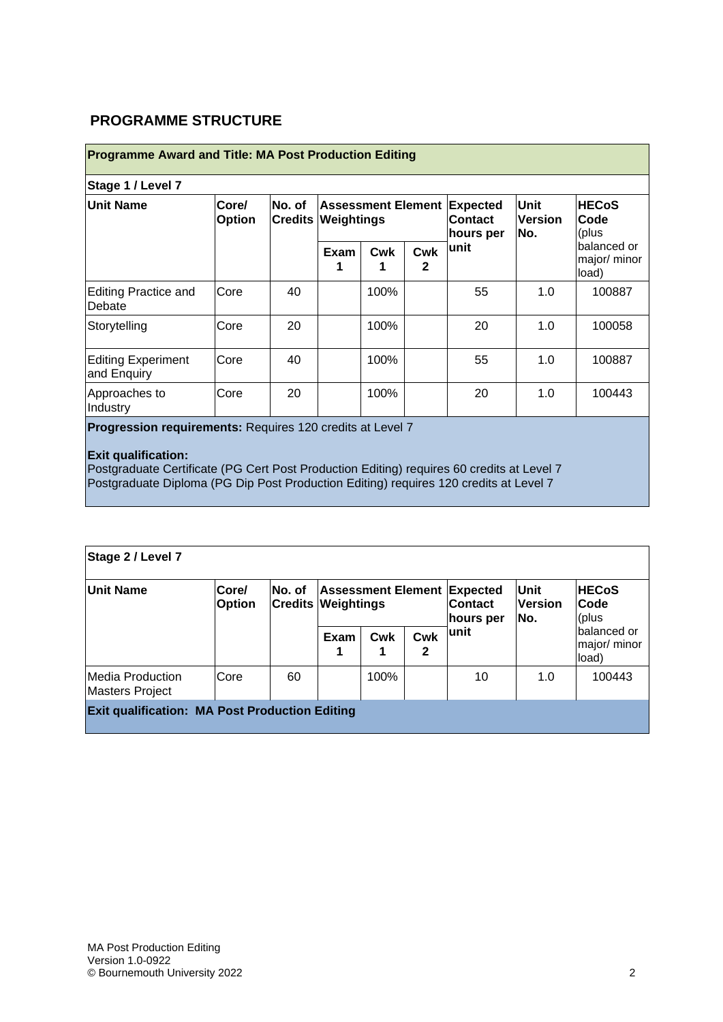## **PROGRAMME STRUCTURE**

| <b>Programme Award and Title: MA Post Production Editing</b> |                        |                                     |             |                                        |          |                                                                   |                                      |                                                                        |  |  |  |  |
|--------------------------------------------------------------|------------------------|-------------------------------------|-------------|----------------------------------------|----------|-------------------------------------------------------------------|--------------------------------------|------------------------------------------------------------------------|--|--|--|--|
| Stage 1 / Level 7                                            |                        |                                     |             |                                        |          |                                                                   |                                      |                                                                        |  |  |  |  |
| <b>Unit Name</b>                                             | Core/<br><b>Option</b> | No. of<br><b>Credits Weightings</b> |             |                                        |          | <b>Assessment Element Expected</b><br><b>Contact</b><br>hours per | <b>Unit</b><br><b>Version</b><br>No. | <b>HECoS</b><br>Code<br>(plus<br>Ibalanced or<br>major/ minor<br>load) |  |  |  |  |
|                                                              |                        |                                     | <b>Exam</b> | <b>Cwk</b>                             | Cwk<br>2 | lunit                                                             |                                      |                                                                        |  |  |  |  |
| Editing Practice and<br>Debate                               | Core                   | 40                                  |             | 100%                                   |          | 55                                                                | 1.0                                  | 100887                                                                 |  |  |  |  |
| Storytelling                                                 | Core                   | 20                                  |             | 100%                                   |          | 20                                                                | 1.0                                  | 100058                                                                 |  |  |  |  |
| <b>Editing Experiment</b><br>and Enquiry                     | Core                   | 40                                  |             | 100%                                   |          | 55                                                                | 1.0                                  | 100887                                                                 |  |  |  |  |
| Approaches to<br>Industry                                    | Core                   | 20                                  |             | 100%                                   |          | 20                                                                | 1.0                                  | 100443                                                                 |  |  |  |  |
|                                                              |                        |                                     |             | and the company of the contract of the |          |                                                                   |                                      |                                                                        |  |  |  |  |

**Progression requirements:** Requires 120 credits at Level 7

#### **Exit qualification:**

Postgraduate Certificate (PG Cert Post Production Editing) requires 60 credits at Level 7 Postgraduate Diploma (PG Dip Post Production Editing) requires 120 credits at Level 7

| Stage 2 / Level 7                                     |                        |                                     |           |      |                 |                                                                   |                               |                                                                       |  |  |
|-------------------------------------------------------|------------------------|-------------------------------------|-----------|------|-----------------|-------------------------------------------------------------------|-------------------------------|-----------------------------------------------------------------------|--|--|
| <b>Unit Name</b>                                      | Core/<br><b>Option</b> | No. of<br><b>Credits Weightings</b> |           |      |                 | <b>Assessment Element Expected</b><br><b>Contact</b><br>hours per | Unit<br><b>Version</b><br>No. | <b>HECoS</b><br>Code<br>(plus<br>balanced or<br>major/ minor<br>load) |  |  |
|                                                       |                        |                                     | Exam<br>1 | Cwk  | <b>Cwk</b><br>2 | lunit                                                             |                               |                                                                       |  |  |
| Media Production<br><b>Masters Project</b>            | Core                   | 60                                  |           | 100% |                 | 10                                                                | 1.0                           | 100443                                                                |  |  |
| <b>Exit qualification: MA Post Production Editing</b> |                        |                                     |           |      |                 |                                                                   |                               |                                                                       |  |  |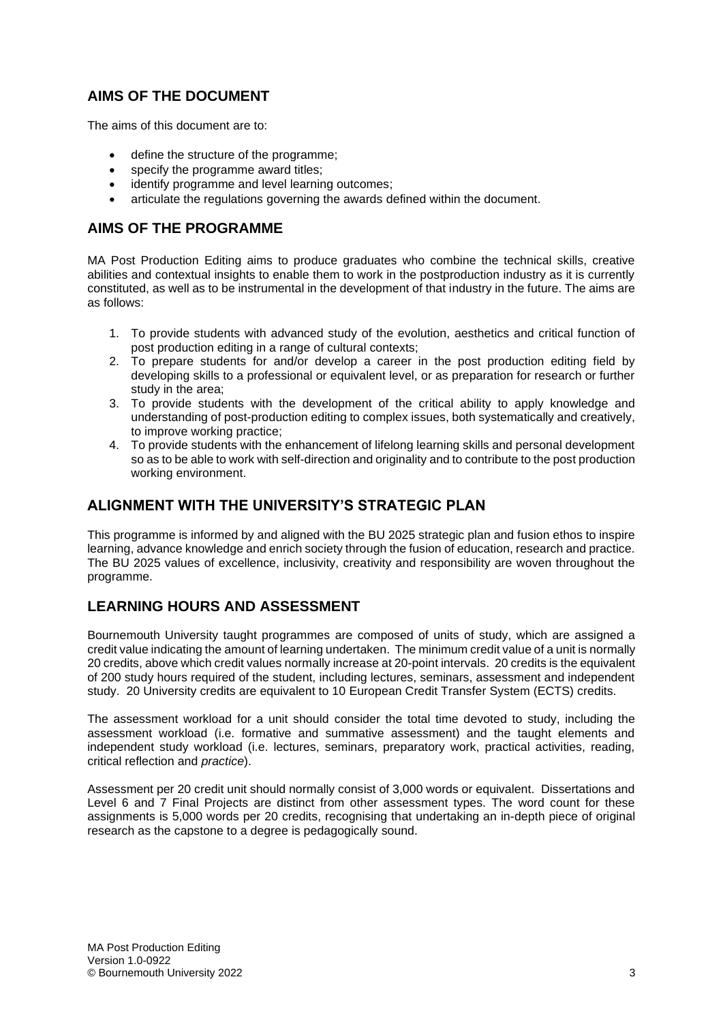## **AIMS OF THE DOCUMENT**

The aims of this document are to:

- define the structure of the programme;
- specify the programme award titles;
- identify programme and level learning outcomes;
- articulate the regulations governing the awards defined within the document.

#### **AIMS OF THE PROGRAMME**

MA Post Production Editing aims to produce graduates who combine the technical skills, creative abilities and contextual insights to enable them to work in the postproduction industry as it is currently constituted, as well as to be instrumental in the development of that industry in the future. The aims are as follows:

- 1. To provide students with advanced study of the evolution, aesthetics and critical function of post production editing in a range of cultural contexts;
- 2. To prepare students for and/or develop a career in the post production editing field by developing skills to a professional or equivalent level, or as preparation for research or further study in the area;
- 3. To provide students with the development of the critical ability to apply knowledge and understanding of post-production editing to complex issues, both systematically and creatively, to improve working practice;
- 4. To provide students with the enhancement of lifelong learning skills and personal development so as to be able to work with self-direction and originality and to contribute to the post production working environment.

#### **ALIGNMENT WITH THE UNIVERSITY'S STRATEGIC PLAN**

This programme is informed by and aligned with the BU 2025 strategic plan and fusion ethos to inspire learning, advance knowledge and enrich society through the fusion of education, research and practice. The BU 2025 values of excellence, inclusivity, creativity and responsibility are woven throughout the programme.

#### **LEARNING HOURS AND ASSESSMENT**

Bournemouth University taught programmes are composed of units of study, which are assigned a credit value indicating the amount of learning undertaken. The minimum credit value of a unit is normally 20 credits, above which credit values normally increase at 20-point intervals. 20 credits is the equivalent of 200 study hours required of the student, including lectures, seminars, assessment and independent study. 20 University credits are equivalent to 10 European Credit Transfer System (ECTS) credits.

The assessment workload for a unit should consider the total time devoted to study, including the assessment workload (i.e. formative and summative assessment) and the taught elements and independent study workload (i.e. lectures, seminars, preparatory work, practical activities, reading, critical reflection and *practice*).

Assessment per 20 credit unit should normally consist of 3,000 words or equivalent. Dissertations and Level 6 and 7 Final Projects are distinct from other assessment types. The word count for these assignments is 5,000 words per 20 credits, recognising that undertaking an in-depth piece of original research as the capstone to a degree is pedagogically sound.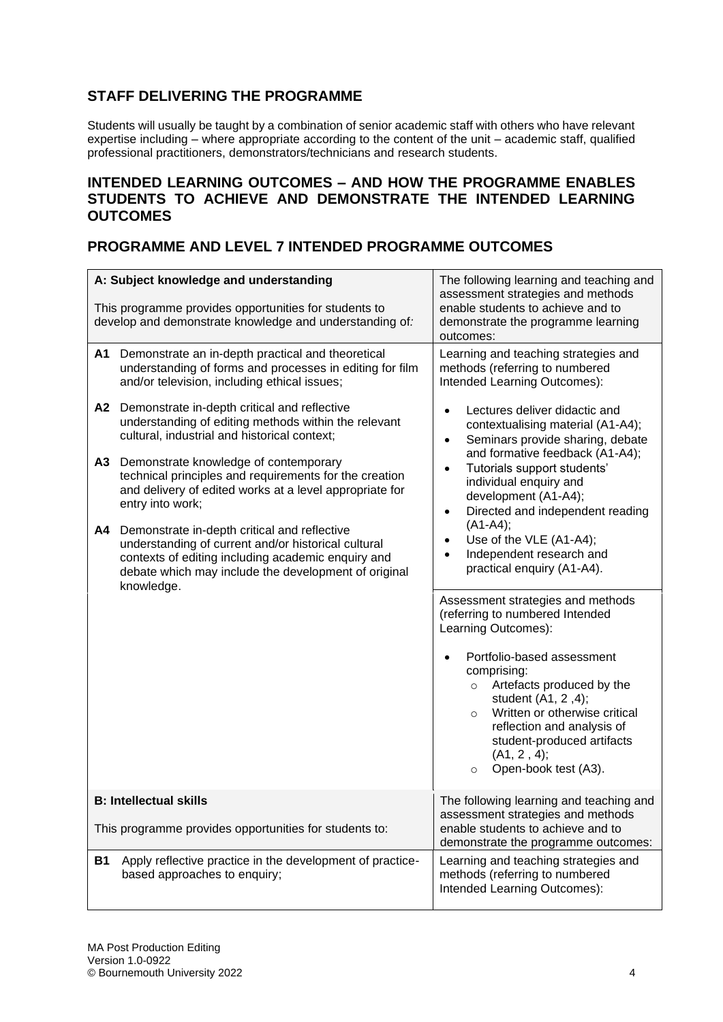## **STAFF DELIVERING THE PROGRAMME**

Students will usually be taught by a combination of senior academic staff with others who have relevant expertise including – where appropriate according to the content of the unit – academic staff, qualified professional practitioners, demonstrators/technicians and research students.

#### **INTENDED LEARNING OUTCOMES – AND HOW THE PROGRAMME ENABLES STUDENTS TO ACHIEVE AND DEMONSTRATE THE INTENDED LEARNING OUTCOMES**

## **PROGRAMME AND LEVEL 7 INTENDED PROGRAMME OUTCOMES**

|           | A: Subject knowledge and understanding<br>This programme provides opportunities for students to<br>develop and demonstrate knowledge and understanding of:                                                                      | The following learning and teaching and<br>assessment strategies and methods<br>enable students to achieve and to<br>demonstrate the programme learning<br>outcomes:                                                                                              |  |  |  |  |
|-----------|---------------------------------------------------------------------------------------------------------------------------------------------------------------------------------------------------------------------------------|-------------------------------------------------------------------------------------------------------------------------------------------------------------------------------------------------------------------------------------------------------------------|--|--|--|--|
| A1        | Demonstrate an in-depth practical and theoretical<br>understanding of forms and processes in editing for film<br>and/or television, including ethical issues;                                                                   | Learning and teaching strategies and<br>methods (referring to numbered<br>Intended Learning Outcomes):                                                                                                                                                            |  |  |  |  |
| A2        | Demonstrate in-depth critical and reflective<br>understanding of editing methods within the relevant<br>cultural, industrial and historical context;                                                                            | Lectures deliver didactic and<br>contextualising material (A1-A4);<br>Seminars provide sharing, debate<br>$\bullet$<br>and formative feedback (A1-A4);                                                                                                            |  |  |  |  |
| A3        | Demonstrate knowledge of contemporary<br>technical principles and requirements for the creation<br>and delivery of edited works at a level appropriate for<br>entry into work;                                                  | Tutorials support students'<br>$\bullet$<br>individual enquiry and<br>development (A1-A4);<br>Directed and independent reading<br>$\bullet$                                                                                                                       |  |  |  |  |
| A4        | Demonstrate in-depth critical and reflective<br>understanding of current and/or historical cultural<br>contexts of editing including academic enquiry and<br>debate which may include the development of original<br>knowledge. | $(A1-A4);$<br>Use of the VLE (A1-A4);<br>Independent research and<br>practical enquiry (A1-A4).                                                                                                                                                                   |  |  |  |  |
|           |                                                                                                                                                                                                                                 | Assessment strategies and methods<br>(referring to numbered Intended<br>Learning Outcomes):                                                                                                                                                                       |  |  |  |  |
|           |                                                                                                                                                                                                                                 | Portfolio-based assessment<br>comprising:<br>Artefacts produced by the<br>$\circ$<br>student (A1, 2,4);<br>Written or otherwise critical<br>$\circ$<br>reflection and analysis of<br>student-produced artifacts<br>(A1, 2, 4);<br>Open-book test (A3).<br>$\circ$ |  |  |  |  |
|           | <b>B: Intellectual skills</b><br>This programme provides opportunities for students to:                                                                                                                                         | The following learning and teaching and<br>assessment strategies and methods<br>enable students to achieve and to                                                                                                                                                 |  |  |  |  |
| <b>B1</b> | Apply reflective practice in the development of practice-<br>based approaches to enquiry;                                                                                                                                       | demonstrate the programme outcomes:<br>Learning and teaching strategies and<br>methods (referring to numbered<br>Intended Learning Outcomes):                                                                                                                     |  |  |  |  |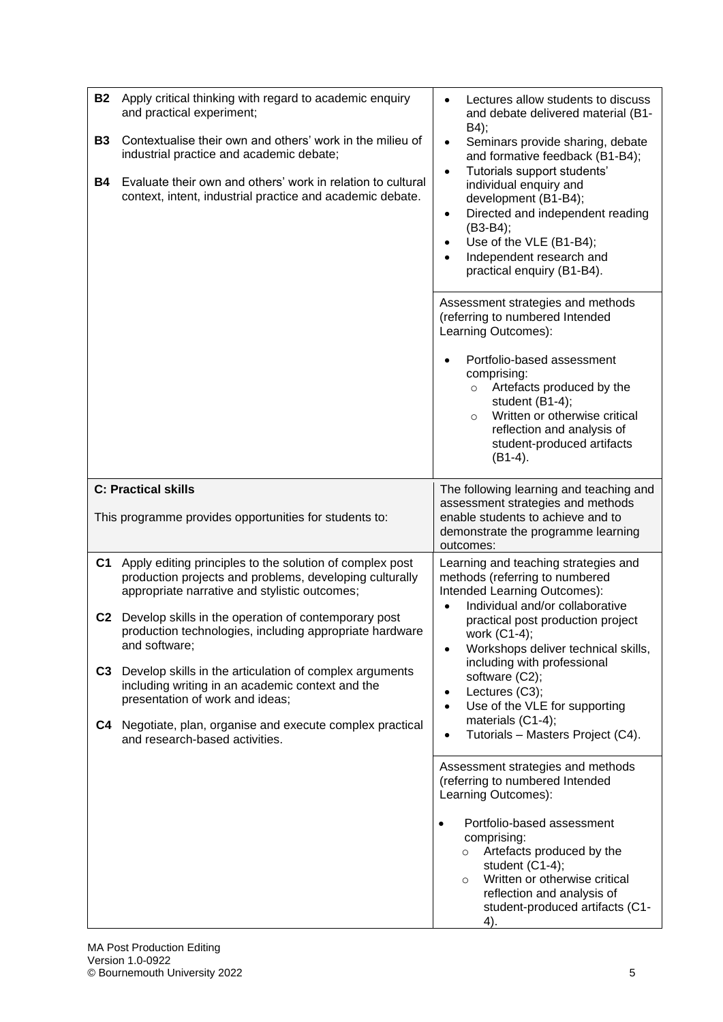| <b>B2</b><br><b>B3</b><br><b>B4</b> | Apply critical thinking with regard to academic enquiry<br>and practical experiment;<br>Contextualise their own and others' work in the milieu of<br>industrial practice and academic debate;<br>Evaluate their own and others' work in relation to cultural<br>context, intent, industrial practice and academic debate. | Lectures allow students to discuss<br>$\bullet$<br>and debate delivered material (B1-<br>B4);<br>Seminars provide sharing, debate<br>$\bullet$<br>and formative feedback (B1-B4);<br>Tutorials support students'<br>$\bullet$<br>individual enquiry and<br>development (B1-B4);<br>Directed and independent reading<br>$\bullet$<br>$(B3-B4);$<br>Use of the VLE (B1-B4);<br>$\bullet$<br>Independent research and<br>practical enquiry (B1-B4). |
|-------------------------------------|---------------------------------------------------------------------------------------------------------------------------------------------------------------------------------------------------------------------------------------------------------------------------------------------------------------------------|--------------------------------------------------------------------------------------------------------------------------------------------------------------------------------------------------------------------------------------------------------------------------------------------------------------------------------------------------------------------------------------------------------------------------------------------------|
|                                     |                                                                                                                                                                                                                                                                                                                           | Assessment strategies and methods<br>(referring to numbered Intended<br>Learning Outcomes):<br>Portfolio-based assessment<br>comprising:<br>Artefacts produced by the<br>$\circ$<br>student (B1-4);<br>Written or otherwise critical<br>$\circ$<br>reflection and analysis of<br>student-produced artifacts<br>$(B1-4).$                                                                                                                         |
|                                     | <b>C: Practical skills</b><br>This programme provides opportunities for students to:                                                                                                                                                                                                                                      | The following learning and teaching and<br>assessment strategies and methods<br>enable students to achieve and to<br>demonstrate the programme learning<br>outcomes:                                                                                                                                                                                                                                                                             |
| C <sub>1</sub>                      | Apply editing principles to the solution of complex post<br>production projects and problems, developing culturally<br>appropriate narrative and stylistic outcomes;<br>C2 Develop skills in the operation of contemporary post<br>production technologies, including appropriate hardware<br>and software;               | Learning and teaching strategies and<br>methods (referring to numbered<br>Intended Learning Outcomes):<br>Individual and/or collaborative<br>practical post production project<br>WOrk (C1-4);<br>Workshops deliver technical skills,<br>$\bullet$                                                                                                                                                                                               |
| C <sub>3</sub><br>C4                | Develop skills in the articulation of complex arguments<br>including writing in an academic context and the<br>presentation of work and ideas;<br>Negotiate, plan, organise and execute complex practical<br>and research-based activities.                                                                               | including with professional<br>software (C2);<br>Lectures (C3);<br>Use of the VLE for supporting<br>$\bullet$<br>materials (C1-4);<br>Tutorials - Masters Project (C4).                                                                                                                                                                                                                                                                          |
|                                     |                                                                                                                                                                                                                                                                                                                           | Assessment strategies and methods<br>(referring to numbered Intended<br>Learning Outcomes):<br>Portfolio-based assessment<br>$\bullet$<br>comprising:<br>Artefacts produced by the<br>$\circ$<br>student (C1-4);<br>Written or otherwise critical<br>$\circ$<br>reflection and analysis of<br>student-produced artifacts (C1-<br>4).                                                                                                             |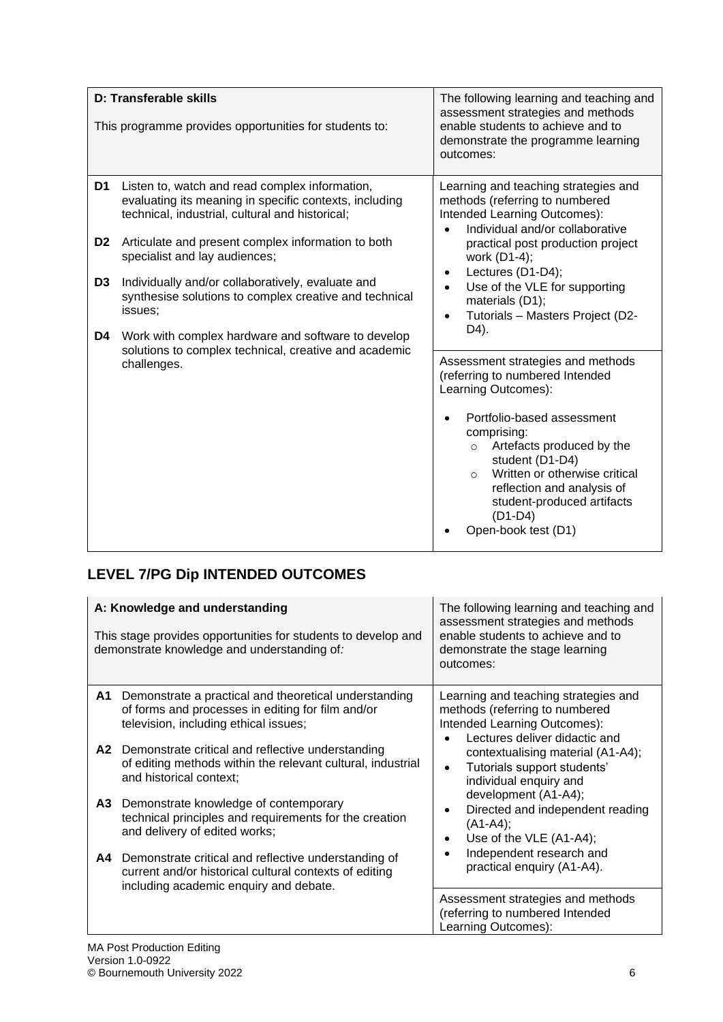|                      | D: Transferable skills<br>This programme provides opportunities for students to:                                                                                                                                                                   | The following learning and teaching and<br>assessment strategies and methods<br>enable students to achieve and to<br>demonstrate the programme learning<br>outcomes:                                                                                                                                                                            |  |  |  |  |
|----------------------|----------------------------------------------------------------------------------------------------------------------------------------------------------------------------------------------------------------------------------------------------|-------------------------------------------------------------------------------------------------------------------------------------------------------------------------------------------------------------------------------------------------------------------------------------------------------------------------------------------------|--|--|--|--|
| D1<br>D <sub>2</sub> | Listen to, watch and read complex information,<br>evaluating its meaning in specific contexts, including<br>technical, industrial, cultural and historical;<br>Articulate and present complex information to both<br>specialist and lay audiences; | Learning and teaching strategies and<br>methods (referring to numbered<br>Intended Learning Outcomes):<br>Individual and/or collaborative<br>practical post production project                                                                                                                                                                  |  |  |  |  |
| D <sub>3</sub><br>D4 | Individually and/or collaboratively, evaluate and<br>synthesise solutions to complex creative and technical<br>issues;<br>Work with complex hardware and software to develop                                                                       | work (D1-4);<br>Lectures (D1-D4);<br>$\bullet$<br>Use of the VLE for supporting<br>$\bullet$<br>materials (D1);<br>Tutorials - Masters Project (D2-<br>D4).                                                                                                                                                                                     |  |  |  |  |
|                      | solutions to complex technical, creative and academic<br>challenges.                                                                                                                                                                               | Assessment strategies and methods<br>(referring to numbered Intended<br>Learning Outcomes):<br>Portfolio-based assessment<br>comprising:<br>Artefacts produced by the<br>$\circ$<br>student (D1-D4)<br>Written or otherwise critical<br>$\circ$<br>reflection and analysis of<br>student-produced artifacts<br>$(D1-D4)$<br>Open-book test (D1) |  |  |  |  |

# **LEVEL 7/PG Dip INTENDED OUTCOMES**

| A: Knowledge and understanding<br>This stage provides opportunities for students to develop and<br>demonstrate knowledge and understanding of: |                                                                                                                                                                                                                                                                                                                                                                                                                                                                                                                                                                                                    | The following learning and teaching and<br>assessment strategies and methods<br>enable students to achieve and to<br>demonstrate the stage learning<br>outcomes:                                                                                                                                                                                                                                     |
|------------------------------------------------------------------------------------------------------------------------------------------------|----------------------------------------------------------------------------------------------------------------------------------------------------------------------------------------------------------------------------------------------------------------------------------------------------------------------------------------------------------------------------------------------------------------------------------------------------------------------------------------------------------------------------------------------------------------------------------------------------|------------------------------------------------------------------------------------------------------------------------------------------------------------------------------------------------------------------------------------------------------------------------------------------------------------------------------------------------------------------------------------------------------|
| A1.<br>A2<br>A3.<br>А4                                                                                                                         | Demonstrate a practical and theoretical understanding<br>of forms and processes in editing for film and/or<br>television, including ethical issues;<br>Demonstrate critical and reflective understanding<br>of editing methods within the relevant cultural, industrial<br>and historical context:<br>Demonstrate knowledge of contemporary<br>technical principles and requirements for the creation<br>and delivery of edited works;<br>Demonstrate critical and reflective understanding of<br>current and/or historical cultural contexts of editing<br>including academic enquiry and debate. | Learning and teaching strategies and<br>methods (referring to numbered<br>Intended Learning Outcomes):<br>Lectures deliver didactic and<br>contextualising material (A1-A4);<br>Tutorials support students'<br>individual enquiry and<br>development (A1-A4);<br>Directed and independent reading<br>$(A1-A4);$<br>Use of the VLE (A1-A4);<br>Independent research and<br>practical enquiry (A1-A4). |
|                                                                                                                                                |                                                                                                                                                                                                                                                                                                                                                                                                                                                                                                                                                                                                    | Assessment strategies and methods<br>(referring to numbered Intended<br>Learning Outcomes):                                                                                                                                                                                                                                                                                                          |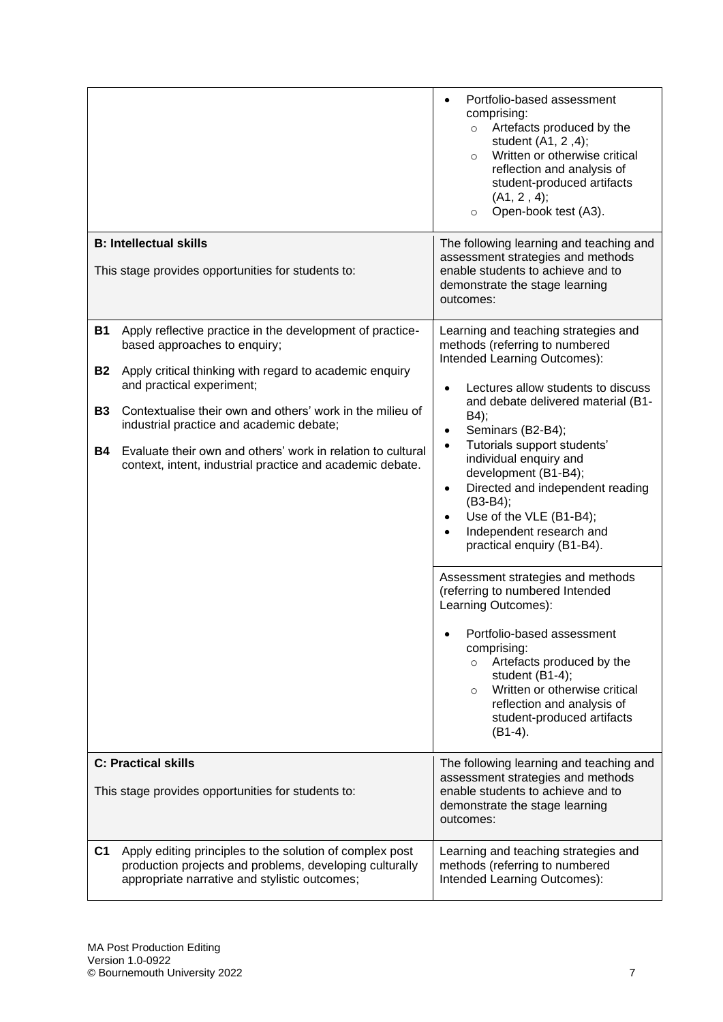|                                           |                                                                                                                                                                                                                                                                                                                                                                                                                        | Portfolio-based assessment<br>comprising:<br>o Artefacts produced by the<br>student (A1, 2,4);<br>Written or otherwise critical<br>$\circ$<br>reflection and analysis of<br>student-produced artifacts<br>(A1, 2, 4);<br>Open-book test (A3).<br>$\circ$                                                                                                                                                                                                                                                                                                                                                                                                                                                                                                                                                               |
|-------------------------------------------|------------------------------------------------------------------------------------------------------------------------------------------------------------------------------------------------------------------------------------------------------------------------------------------------------------------------------------------------------------------------------------------------------------------------|------------------------------------------------------------------------------------------------------------------------------------------------------------------------------------------------------------------------------------------------------------------------------------------------------------------------------------------------------------------------------------------------------------------------------------------------------------------------------------------------------------------------------------------------------------------------------------------------------------------------------------------------------------------------------------------------------------------------------------------------------------------------------------------------------------------------|
|                                           | <b>B: Intellectual skills</b><br>This stage provides opportunities for students to:                                                                                                                                                                                                                                                                                                                                    | The following learning and teaching and<br>assessment strategies and methods<br>enable students to achieve and to<br>demonstrate the stage learning<br>outcomes:                                                                                                                                                                                                                                                                                                                                                                                                                                                                                                                                                                                                                                                       |
| B1<br><b>B2</b><br><b>B3</b><br><b>B4</b> | Apply reflective practice in the development of practice-<br>based approaches to enquiry;<br>Apply critical thinking with regard to academic enquiry<br>and practical experiment;<br>Contextualise their own and others' work in the milieu of<br>industrial practice and academic debate;<br>Evaluate their own and others' work in relation to cultural<br>context, intent, industrial practice and academic debate. | Learning and teaching strategies and<br>methods (referring to numbered<br>Intended Learning Outcomes):<br>Lectures allow students to discuss<br>$\bullet$<br>and debate delivered material (B1-<br>B4);<br>Seminars (B2-B4);<br>Tutorials support students'<br>$\bullet$<br>individual enquiry and<br>development (B1-B4);<br>Directed and independent reading<br>$\bullet$<br>(B3-B4);<br>Use of the VLE (B1-B4);<br>$\bullet$<br>Independent research and<br>practical enquiry (B1-B4).<br>Assessment strategies and methods<br>(referring to numbered Intended<br>Learning Outcomes):<br>Portfolio-based assessment<br>comprising:<br>Artefacts produced by the<br>$\circ$<br>student (B1-4);<br>Written or otherwise critical<br>$\circ$<br>reflection and analysis of<br>student-produced artifacts<br>$(B1-4)$ . |
|                                           | <b>C: Practical skills</b><br>This stage provides opportunities for students to:                                                                                                                                                                                                                                                                                                                                       | The following learning and teaching and<br>assessment strategies and methods<br>enable students to achieve and to<br>demonstrate the stage learning<br>outcomes:                                                                                                                                                                                                                                                                                                                                                                                                                                                                                                                                                                                                                                                       |
| C1                                        | Apply editing principles to the solution of complex post<br>production projects and problems, developing culturally<br>appropriate narrative and stylistic outcomes;                                                                                                                                                                                                                                                   | Learning and teaching strategies and<br>methods (referring to numbered<br>Intended Learning Outcomes):                                                                                                                                                                                                                                                                                                                                                                                                                                                                                                                                                                                                                                                                                                                 |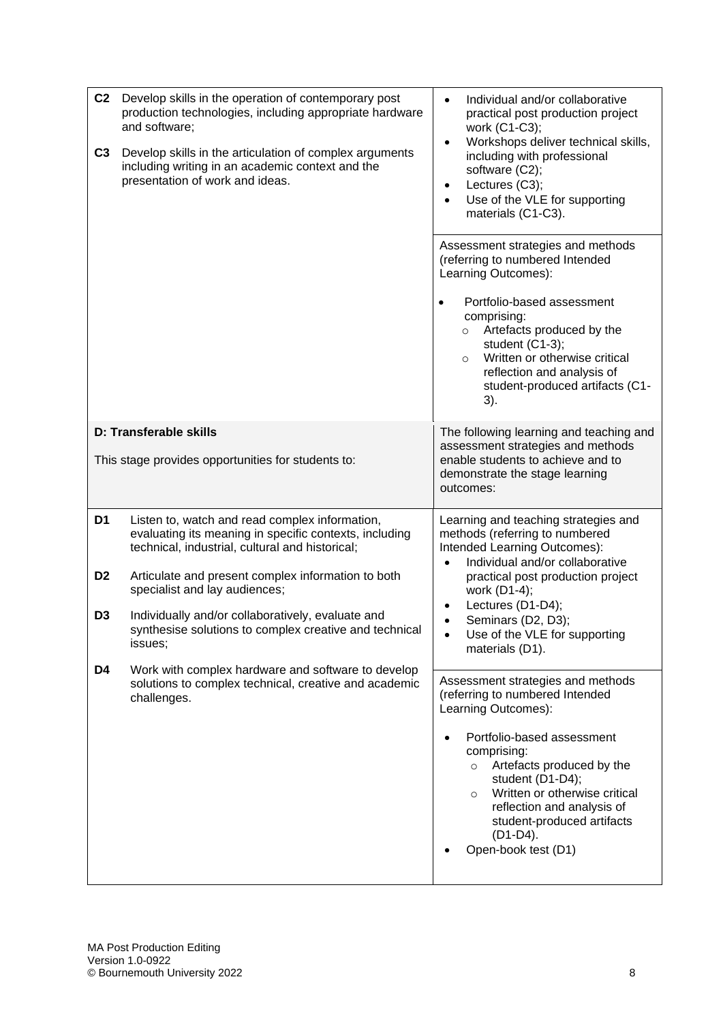| C <sub>2</sub><br>C <sub>3</sub> | Develop skills in the operation of contemporary post<br>production technologies, including appropriate hardware<br>and software;<br>Develop skills in the articulation of complex arguments<br>including writing in an academic context and the<br>presentation of work and ideas. | Individual and/or collaborative<br>$\bullet$<br>practical post production project<br>work (C1-C3);<br>Workshops deliver technical skills,<br>$\bullet$<br>including with professional<br>software (C2);<br>Lectures (C3);<br>$\bullet$<br>Use of the VLE for supporting<br>$\bullet$<br>materials (C1-C3).                                         |
|----------------------------------|------------------------------------------------------------------------------------------------------------------------------------------------------------------------------------------------------------------------------------------------------------------------------------|----------------------------------------------------------------------------------------------------------------------------------------------------------------------------------------------------------------------------------------------------------------------------------------------------------------------------------------------------|
|                                  |                                                                                                                                                                                                                                                                                    | Assessment strategies and methods<br>(referring to numbered Intended<br>Learning Outcomes):<br>Portfolio-based assessment<br>$\bullet$<br>comprising:<br>Artefacts produced by the<br>$\circ$<br>student (C1-3);<br>Written or otherwise critical<br>$\circ$<br>reflection and analysis of<br>student-produced artifacts (C1-<br>3).               |
|                                  | D: Transferable skills<br>This stage provides opportunities for students to:                                                                                                                                                                                                       | The following learning and teaching and<br>assessment strategies and methods<br>enable students to achieve and to<br>demonstrate the stage learning<br>outcomes:                                                                                                                                                                                   |
| D1                               | Listen to, watch and read complex information,<br>evaluating its meaning in specific contexts, including<br>technical, industrial, cultural and historical;                                                                                                                        | Learning and teaching strategies and<br>methods (referring to numbered<br>Intended Learning Outcomes):<br>Individual and/or collaborative<br>$\bullet$                                                                                                                                                                                             |
| D <sub>2</sub>                   | Articulate and present complex information to both<br>specialist and lay audiences;                                                                                                                                                                                                | practical post production project<br>work (D1-4);<br>Lectures (D1-D4);                                                                                                                                                                                                                                                                             |
| D <sub>3</sub>                   | Individually and/or collaboratively, evaluate and<br>synthesise solutions to complex creative and technical<br>issues;                                                                                                                                                             | Seminars (D2, D3);<br>Use of the VLE for supporting<br>materials (D1).                                                                                                                                                                                                                                                                             |
| D4                               | Work with complex hardware and software to develop<br>solutions to complex technical, creative and academic<br>challenges.                                                                                                                                                         | Assessment strategies and methods<br>(referring to numbered Intended<br>Learning Outcomes):<br>Portfolio-based assessment<br>comprising:<br>Artefacts produced by the<br>$\circ$<br>student (D1-D4);<br>Written or otherwise critical<br>$\circ$<br>reflection and analysis of<br>student-produced artifacts<br>$(D1-D4)$ .<br>Open-book test (D1) |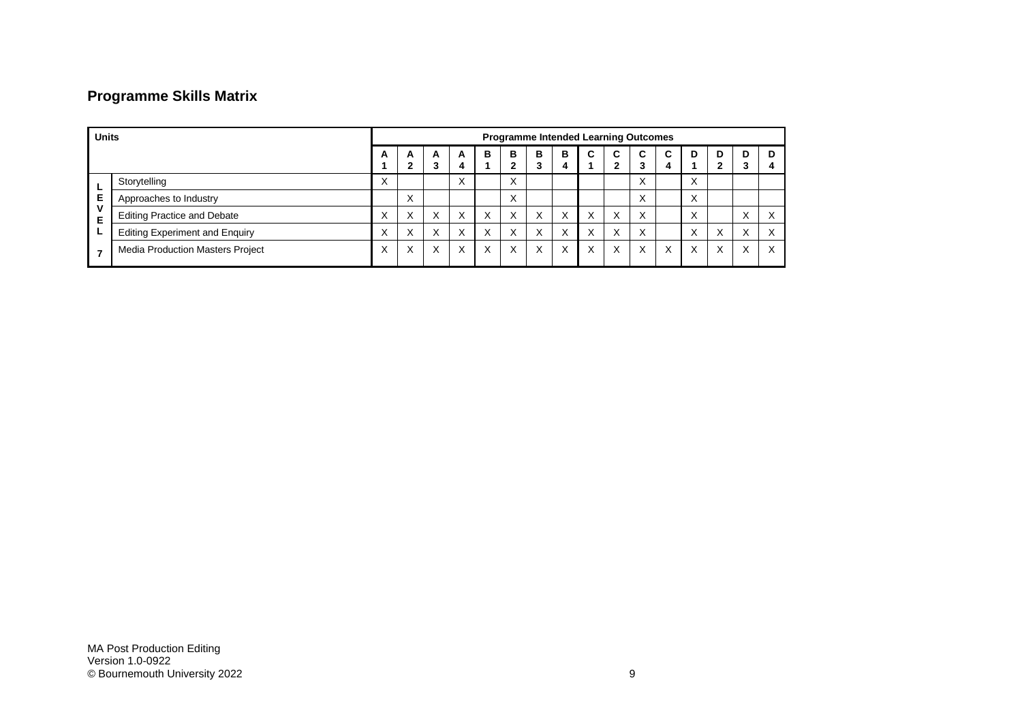## **Programme Skills Matrix**

| <b>Units</b> |                                         | <b>Programme Intended Learning Outcomes</b> |                   |   |                        |   |                   |                   |                   |                   |              |                   |        |                           |   |   |   |
|--------------|-----------------------------------------|---------------------------------------------|-------------------|---|------------------------|---|-------------------|-------------------|-------------------|-------------------|--------------|-------------------|--------|---------------------------|---|---|---|
|              |                                         | A                                           | A<br>ŋ            | A | A                      | в | в<br>ົ            | в<br>3            | в<br>4            | C                 | C<br>າ       | C<br>3            | C<br>4 | D                         | D | D | D |
|              | Storytelling                            | $\sim$                                      |                   |   | $\lambda$<br>$\lambda$ |   | ㅅ                 |                   |                   |                   |              | $\lambda$         |        | $\checkmark$<br>$\lambda$ |   |   |   |
| Е            | Approaches to Industry                  |                                             | $\checkmark$<br>⋏ |   |                        |   | ⋏                 |                   |                   |                   |              | ⌒                 |        | $\checkmark$<br>∧         |   |   |   |
| v<br>Е       | <b>Editing Practice and Debate</b>      | $\checkmark$                                | $\checkmark$<br>⋏ | X | X                      |   | $\checkmark$<br>X | X                 | X                 | $\checkmark$<br>v | $\checkmark$ | X                 |        | $\checkmark$<br>⌒         |   |   |   |
| ட            | <b>Editing Experiment and Enquiry</b>   |                                             | $\checkmark$<br>⌒ | X | $\checkmark$<br>⋏      |   |                   | $\checkmark$<br>⋏ | $\checkmark$<br>v | $\checkmark$      | $\checkmark$ | $\checkmark$<br>⌒ |        |                           |   |   |   |
|              | <b>Media Production Masters Project</b> |                                             | X                 | X | $\checkmark$<br>v      |   | ⋏                 | X                 | X                 | $\checkmark$<br>⋏ | v            | X                 | X      | $\checkmark$<br>⋏         | X |   | ⋏ |